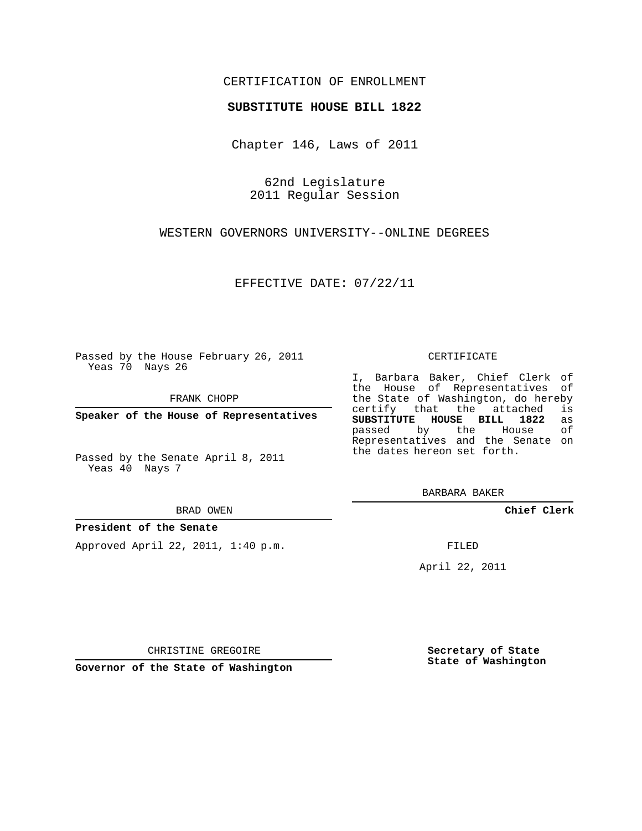## CERTIFICATION OF ENROLLMENT

### **SUBSTITUTE HOUSE BILL 1822**

Chapter 146, Laws of 2011

62nd Legislature 2011 Regular Session

WESTERN GOVERNORS UNIVERSITY--ONLINE DEGREES

EFFECTIVE DATE: 07/22/11

Passed by the House February 26, 2011 Yeas 70 Nays 26

FRANK CHOPP

**Speaker of the House of Representatives**

Passed by the Senate April 8, 2011 Yeas 40 Nays 7

#### BRAD OWEN

### **President of the Senate**

Approved April 22, 2011, 1:40 p.m.

#### CERTIFICATE

I, Barbara Baker, Chief Clerk of the House of Representatives of the State of Washington, do hereby<br>certify that the attached is certify that the attached **SUBSTITUTE HOUSE BILL 1822** as passed by the House Representatives and the Senate on the dates hereon set forth.

BARBARA BAKER

**Chief Clerk**

FILED

April 22, 2011

CHRISTINE GREGOIRE

**Governor of the State of Washington**

**Secretary of State State of Washington**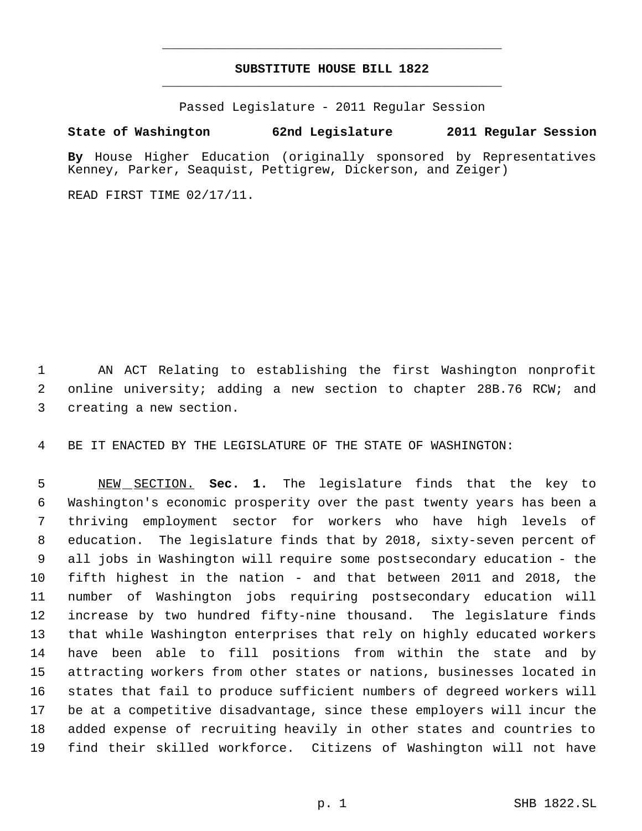# **SUBSTITUTE HOUSE BILL 1822** \_\_\_\_\_\_\_\_\_\_\_\_\_\_\_\_\_\_\_\_\_\_\_\_\_\_\_\_\_\_\_\_\_\_\_\_\_\_\_\_\_\_\_\_\_

\_\_\_\_\_\_\_\_\_\_\_\_\_\_\_\_\_\_\_\_\_\_\_\_\_\_\_\_\_\_\_\_\_\_\_\_\_\_\_\_\_\_\_\_\_

Passed Legislature - 2011 Regular Session

## **State of Washington 62nd Legislature 2011 Regular Session**

**By** House Higher Education (originally sponsored by Representatives Kenney, Parker, Seaquist, Pettigrew, Dickerson, and Zeiger)

READ FIRST TIME 02/17/11.

 AN ACT Relating to establishing the first Washington nonprofit online university; adding a new section to chapter 28B.76 RCW; and creating a new section.

BE IT ENACTED BY THE LEGISLATURE OF THE STATE OF WASHINGTON:

 NEW SECTION. **Sec. 1.** The legislature finds that the key to Washington's economic prosperity over the past twenty years has been a thriving employment sector for workers who have high levels of education. The legislature finds that by 2018, sixty-seven percent of all jobs in Washington will require some postsecondary education - the fifth highest in the nation - and that between 2011 and 2018, the number of Washington jobs requiring postsecondary education will increase by two hundred fifty-nine thousand. The legislature finds that while Washington enterprises that rely on highly educated workers have been able to fill positions from within the state and by attracting workers from other states or nations, businesses located in states that fail to produce sufficient numbers of degreed workers will be at a competitive disadvantage, since these employers will incur the added expense of recruiting heavily in other states and countries to find their skilled workforce. Citizens of Washington will not have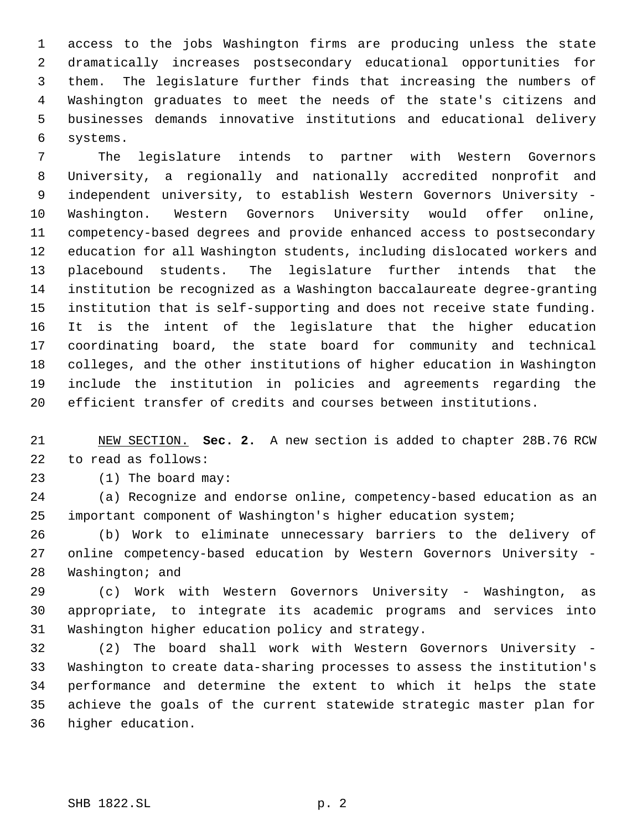access to the jobs Washington firms are producing unless the state dramatically increases postsecondary educational opportunities for them. The legislature further finds that increasing the numbers of Washington graduates to meet the needs of the state's citizens and businesses demands innovative institutions and educational delivery systems.

 The legislature intends to partner with Western Governors University, a regionally and nationally accredited nonprofit and independent university, to establish Western Governors University - Washington. Western Governors University would offer online, competency-based degrees and provide enhanced access to postsecondary education for all Washington students, including dislocated workers and placebound students. The legislature further intends that the institution be recognized as a Washington baccalaureate degree-granting institution that is self-supporting and does not receive state funding. It is the intent of the legislature that the higher education coordinating board, the state board for community and technical colleges, and the other institutions of higher education in Washington include the institution in policies and agreements regarding the efficient transfer of credits and courses between institutions.

 NEW SECTION. **Sec. 2.** A new section is added to chapter 28B.76 RCW to read as follows:

(1) The board may:

 (a) Recognize and endorse online, competency-based education as an important component of Washington's higher education system;

 (b) Work to eliminate unnecessary barriers to the delivery of online competency-based education by Western Governors University - Washington; and

 (c) Work with Western Governors University - Washington, as appropriate, to integrate its academic programs and services into Washington higher education policy and strategy.

 (2) The board shall work with Western Governors University - Washington to create data-sharing processes to assess the institution's performance and determine the extent to which it helps the state achieve the goals of the current statewide strategic master plan for higher education.